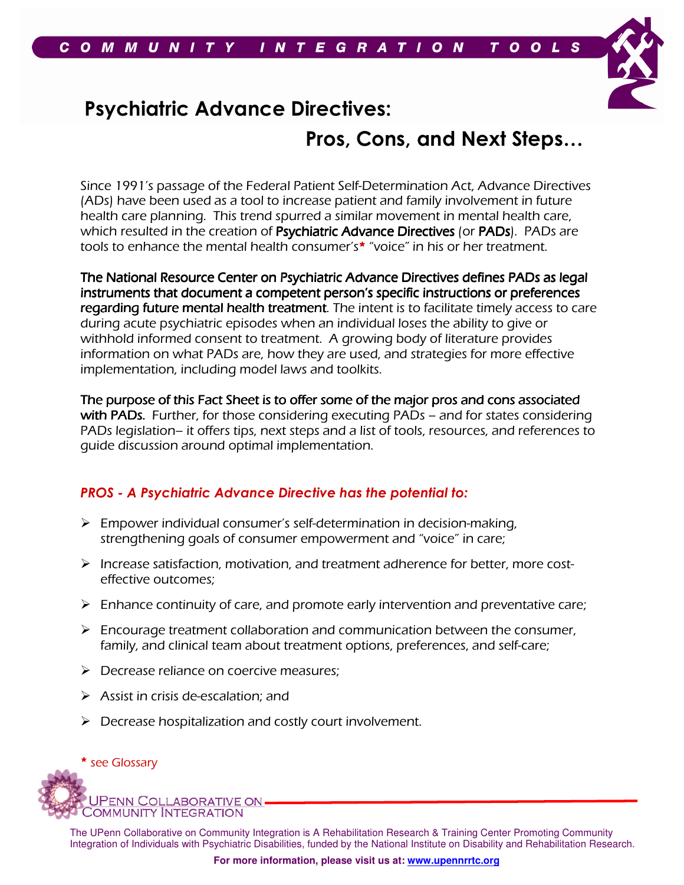

# Psychiatric Advance Directives:

# Pros, Cons, and Next Steps…

Since 1991's passage of the Federal Patient Self-Determination Act, Advance Directives (ADs) have been used as a tool to increase patient and family involvement in future health care planning. This trend spurred a similar movement in mental health care, which resulted in the creation of Psychiatric Advance Directives (or PADs). PADs are tools to enhance the mental health consumer's\* "voice" in his or her treatment.

The National Resource Center on Psychiatric Advance Directives defines PADs as legal instruments that document a competent person's specific instructions or preferences regarding future mental health treatment. The intent is to facilitate timely access to care during acute psychiatric episodes when an individual loses the ability to give or withhold informed consent to treatment. A growing body of literature provides information on what PADs are, how they are used, and strategies for more effective implementation, including model laws and toolkits.

The purpose of this Fact Sheet is to offer some of the major pros and cons associated with PADs. Further, for those considering executing PADs – and for states considering PADs legislation– it offers tips, next steps and a list of tools, resources, and references to guide discussion around optimal implementation.

# PROS - A Psychiatric Advance Directive has the potential to:

- $\triangleright$  Empower individual consumer's self-determination in decision-making, strengthening goals of consumer empowerment and "voice" in care;
- $\triangleright$  Increase satisfaction, motivation, and treatment adherence for better, more costeffective outcomes;
- $\triangleright$  Enhance continuity of care, and promote early intervention and preventative care;
- $\triangleright$  Encourage treatment collaboration and communication between the consumer, family, and clinical team about treatment options, preferences, and self-care;
- $\triangleright$  Decrease reliance on coercive measures;
- $\triangleright$  Assist in crisis de-escalation; and
- $\triangleright$  Decrease hospitalization and costly court involvement.

#### \* see Glossary

PENN COLLABORATIVE ON **COMMUNITY INTEGRATION**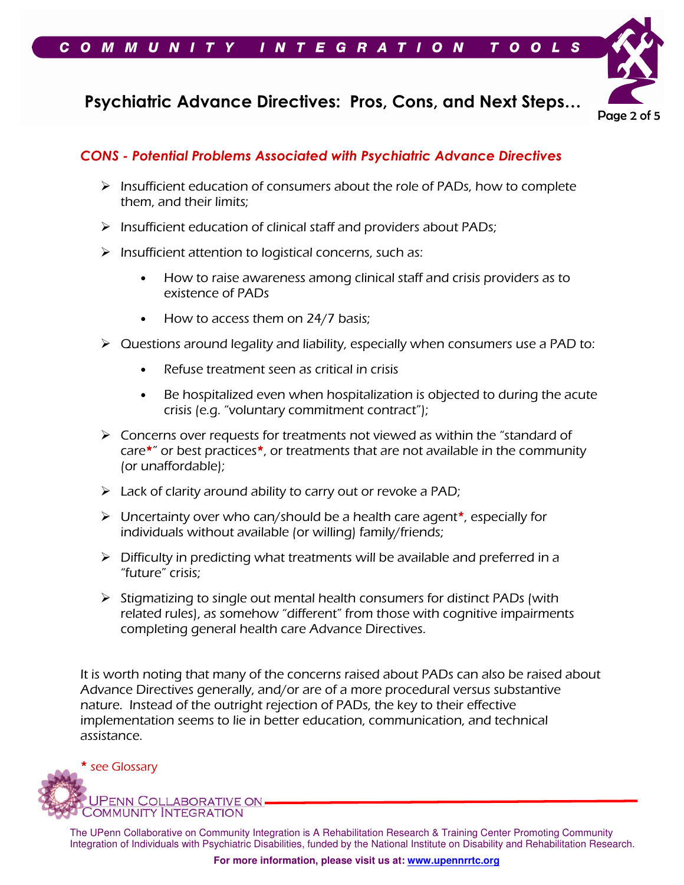



## CONS - Potential Problems Associated with Psychiatric Advance Directives

- $\triangleright$  Insufficient education of consumers about the role of PADs, how to complete them, and their limits;
- $\triangleright$  Insufficient education of clinical staff and providers about PADs;
- $\triangleright$  Insufficient attention to logistical concerns, such as:
	- How to raise awareness among clinical staff and crisis providers as to existence of PADs
	- How to access them on 24/7 basis;
- $\triangleright$  Questions around legality and liability, especially when consumers use a PAD to:
	- Refuse treatment seen as critical in crisis
	- Be hospitalized even when hospitalization is objected to during the acute crisis (e.g. "voluntary commitment contract");
- $\triangleright$  Concerns over requests for treatments not viewed as within the "standard of care\*" or best practices\*, or treatments that are not available in the community (or unaffordable);
- $\triangleright$  Lack of clarity around ability to carry out or revoke a PAD;
- $\triangleright$  Uncertainty over who can/should be a health care agent\*, especially for individuals without available (or willing) family/friends;
- $\triangleright$  Difficulty in predicting what treatments will be available and preferred in a "future" crisis;
- $\triangleright$  Stigmatizing to single out mental health consumers for distinct PADs (with related rules), as somehow "different" from those with cognitive impairments completing general health care Advance Directives.

It is worth noting that many of the concerns raised about PADs can also be raised about Advance Directives generally, and/or are of a more procedural versus substantive nature. Instead of the outright rejection of PADs, the key to their effective implementation seems to lie in better education, communication, and technical assistance.

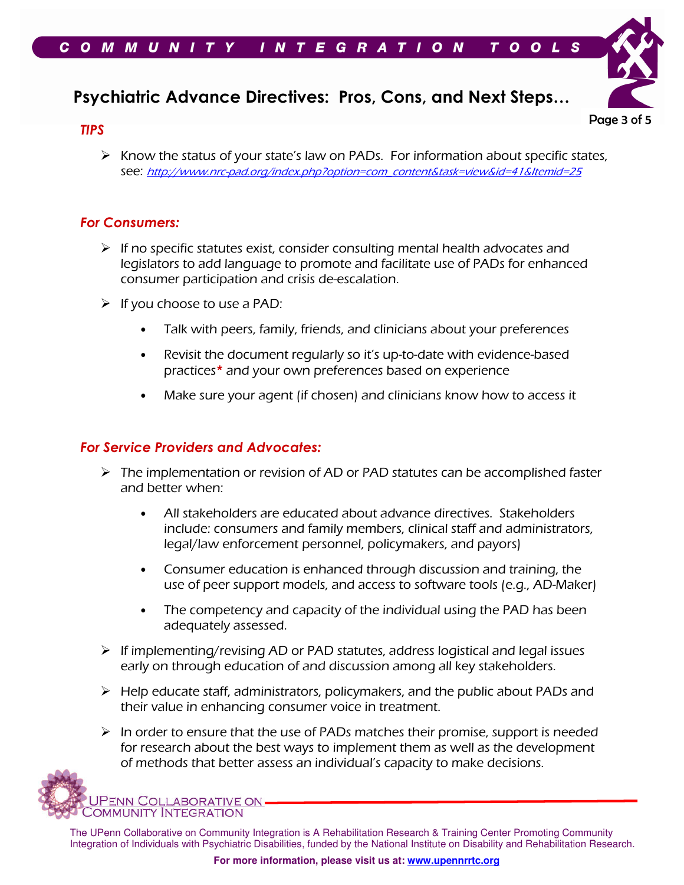

#### TIPS



 $\triangleright$  Know the status of your state's law on PADs. For information about specific states, see: http://www.nrc-pad.org/index.php?option=com\_content&task=view&id=41&Itemid=25

### For Consumers:

- $\triangleright$  If no specific statutes exist, consider consulting mental health advocates and legislators to add language to promote and facilitate use of PADs for enhanced consumer participation and crisis de-escalation.
- $\triangleright$  If you choose to use a PAD:
	- Talk with peers, family, friends, and clinicians about your preferences
	- Revisit the document regularly so it's up-to-date with evidence-based practices\* and your own preferences based on experience
	- Make sure your agent (if chosen) and clinicians know how to access it

## For Service Providers and Advocates:

- $\triangleright$  The implementation or revision of AD or PAD statutes can be accomplished faster and better when:
	- All stakeholders are educated about advance directives. Stakeholders include: consumers and family members, clinical staff and administrators, legal/law enforcement personnel, policymakers, and payors)
	- Consumer education is enhanced through discussion and training, the use of peer support models, and access to software tools (e.g., AD-Maker)
	- The competency and capacity of the individual using the PAD has been adequately assessed.
- $\triangleright$  If implementing/revising AD or PAD statutes, address logistical and legal issues early on through education of and discussion among all key stakeholders.
- $\triangleright$  Help educate staff, administrators, policymakers, and the public about PADs and their value in enhancing consumer voice in treatment.
- $\triangleright$  In order to ensure that the use of PADs matches their promise, support is needed for research about the best ways to implement them as well as the development of methods that better assess an individual's capacity to make decisions.

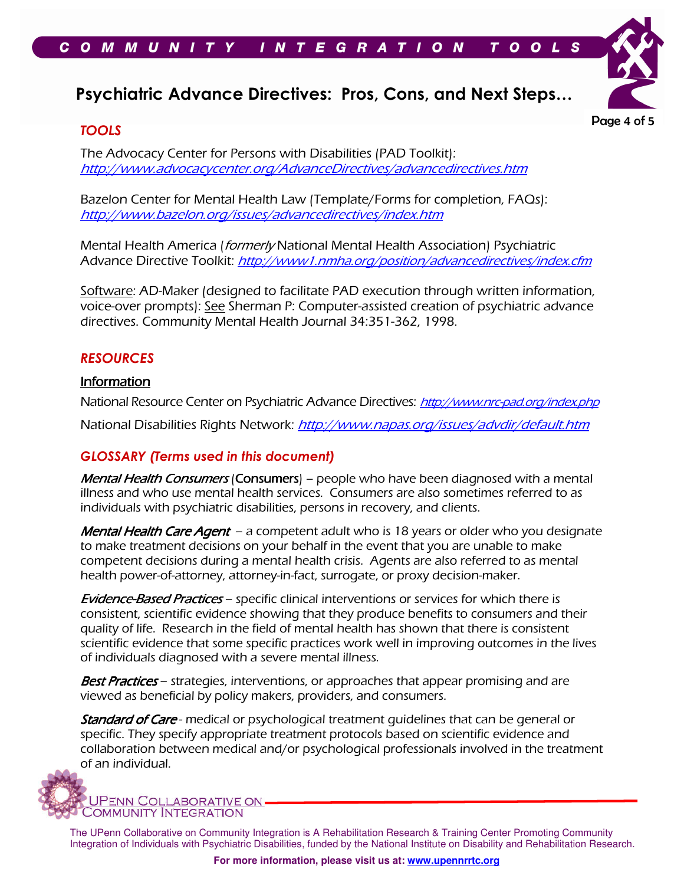

Page 4 of 5

### TOOLS

The Advocacy Center for Persons with Disabilities (PAD Toolkit): http://www.advocacycenter.org/AdvanceDirectives/advancedirectives.htm

Bazelon Center for Mental Health Law (Template/Forms for completion, FAQs): http://www.bazelon.org/issues/advancedirectives/index.htm

Mental Health America (formerly National Mental Health Association) Psychiatric Advance Directive Toolkit: http://www1.nmha.org/position/advancedirectives/index.cfm

Software: AD-Maker (designed to facilitate PAD execution through written information, voice-over prompts): See Sherman P: Computer-assisted creation of psychiatric advance directives. Community Mental Health Journal 34:351-362, 1998.

#### **RESOURCES**

#### **Information**

National Resource Center on Psychiatric Advance Directives: http://www.nrc-pad.org/index.php National Disabilities Rights Network: http://www.napas.org/issues/advdir/default.htm

### GLOSSARY (Terms used in this document)

Mental Health Consumers (Consumers) – people who have been diagnosed with a mental illness and who use mental health services. Consumers are also sometimes referred to as individuals with psychiatric disabilities, persons in recovery, and clients.

Mental Health Care Agent – a competent adult who is 18 years or older who you designate to make treatment decisions on your behalf in the event that you are unable to make competent decisions during a mental health crisis. Agents are also referred to as mental health power-of-attorney, attorney-in-fact, surrogate, or proxy decision-maker.

Evidence-Based Practices – specific clinical interventions or services for which there is consistent, scientific evidence showing that they produce benefits to consumers and their quality of life. Research in the field of mental health has shown that there is consistent scientific evidence that some specific practices work well in improving outcomes in the lives of individuals diagnosed with a severe mental illness.

Best Practices - strategies, interventions, or approaches that appear promising and are viewed as beneficial by policy makers, providers, and consumers.

**Standard of Care** - medical or psychological treatment guidelines that can be general or specific. They specify appropriate treatment protocols based on scientific evidence and collaboration between medical and/or psychological professionals involved in the treatment of an individual.



The UPenn Collaborative on Community Integration is A Rehabilitation Research & Training Center Promoting Community Integration of Individuals with Psychiatric Disabilities, funded by the National Institute on Disability and Rehabilitation Research.

**For more information, please visit us at: www.upennrrtc.org**